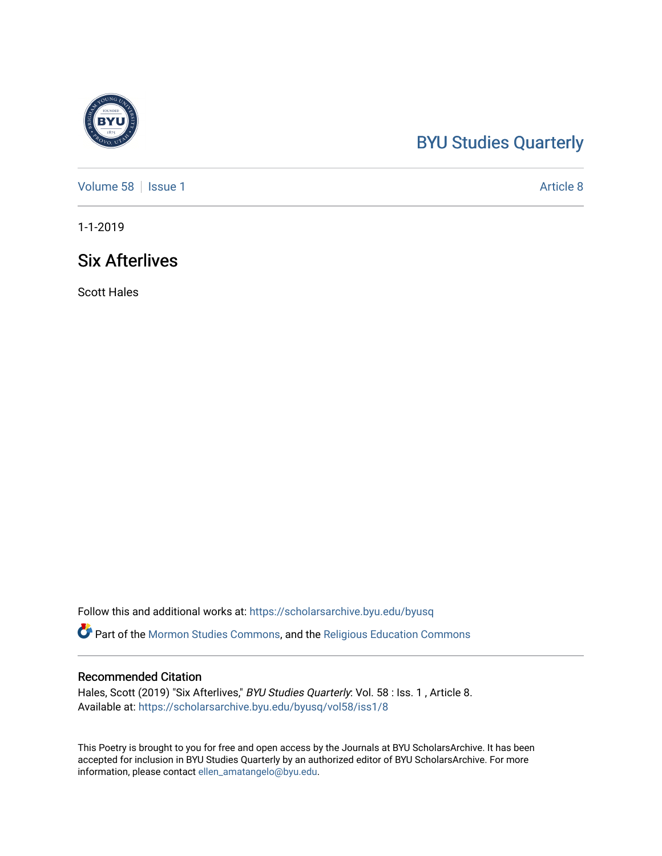# [BYU Studies Quarterly](https://scholarsarchive.byu.edu/byusq)

[Volume 58](https://scholarsarchive.byu.edu/byusq/vol58) | [Issue 1](https://scholarsarchive.byu.edu/byusq/vol58/iss1) Article 8

1-1-2019

## Six Afterlives

Scott Hales

Follow this and additional works at: [https://scholarsarchive.byu.edu/byusq](https://scholarsarchive.byu.edu/byusq?utm_source=scholarsarchive.byu.edu%2Fbyusq%2Fvol58%2Fiss1%2F8&utm_medium=PDF&utm_campaign=PDFCoverPages) 

Part of the [Mormon Studies Commons](http://network.bepress.com/hgg/discipline/1360?utm_source=scholarsarchive.byu.edu%2Fbyusq%2Fvol58%2Fiss1%2F8&utm_medium=PDF&utm_campaign=PDFCoverPages), and the [Religious Education Commons](http://network.bepress.com/hgg/discipline/1414?utm_source=scholarsarchive.byu.edu%2Fbyusq%2Fvol58%2Fiss1%2F8&utm_medium=PDF&utm_campaign=PDFCoverPages) 

#### Recommended Citation

Hales, Scott (2019) "Six Afterlives," BYU Studies Quarterly: Vol. 58 : Iss. 1, Article 8. Available at: [https://scholarsarchive.byu.edu/byusq/vol58/iss1/8](https://scholarsarchive.byu.edu/byusq/vol58/iss1/8?utm_source=scholarsarchive.byu.edu%2Fbyusq%2Fvol58%2Fiss1%2F8&utm_medium=PDF&utm_campaign=PDFCoverPages)

This Poetry is brought to you for free and open access by the Journals at BYU ScholarsArchive. It has been accepted for inclusion in BYU Studies Quarterly by an authorized editor of BYU ScholarsArchive. For more information, please contact [ellen\\_amatangelo@byu.edu.](mailto:ellen_amatangelo@byu.edu)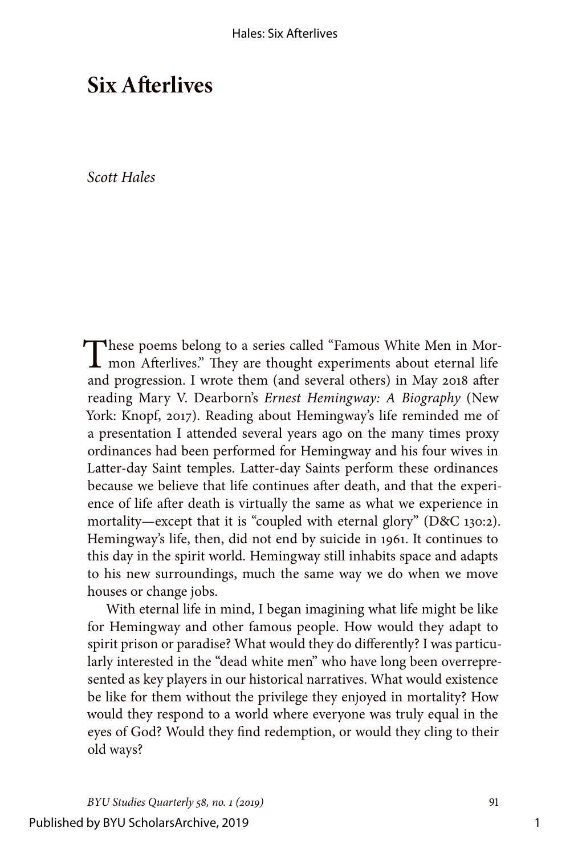## **Six Afterlives**

#### *Scott Hales*

These poems belong to a series called "Famous White Men in Mor-<br>mon Afterlives." They are thought experiments about eternal life and progression. I wrote them (and several others) in May 2018 after reading Mary V. Dearborn's *Ernest Hemingway: A Biography* (New York: Knopf, 2017). Reading about Hemingway's life reminded me of a presentation I attended several years ago on the many times proxy ordinances had been performed for Hemingway and his four wives in Latter-day Saint temples. Latter-day Saints perform these ordinances because we believe that life continues after death, and that the experience of life after death is virtually the same as what we experience in mortality—except that it is "coupled with eternal glory" (D&C 130:2). Hemingway's life, then, did not end by suicide in 1961. It continues to this day in the spirit world. Hemingway still inhabits space and adapts to his new surroundings, much the same way we do when we move houses or change jobs.

With eternal life in mind, I began imagining what life might be like for Hemingway and other famous people. How would they adapt to spirit prison or paradise? What would they do differently? I was particularly interested in the "dead white men" who have long been overrepresented as key players in our historical narratives. What would existence be like for them without the privilege they enjoyed in mortality? How would they respond to a world where everyone was truly equal in the eyes of God? Would they find redemption, or would they cling to their old ways?

1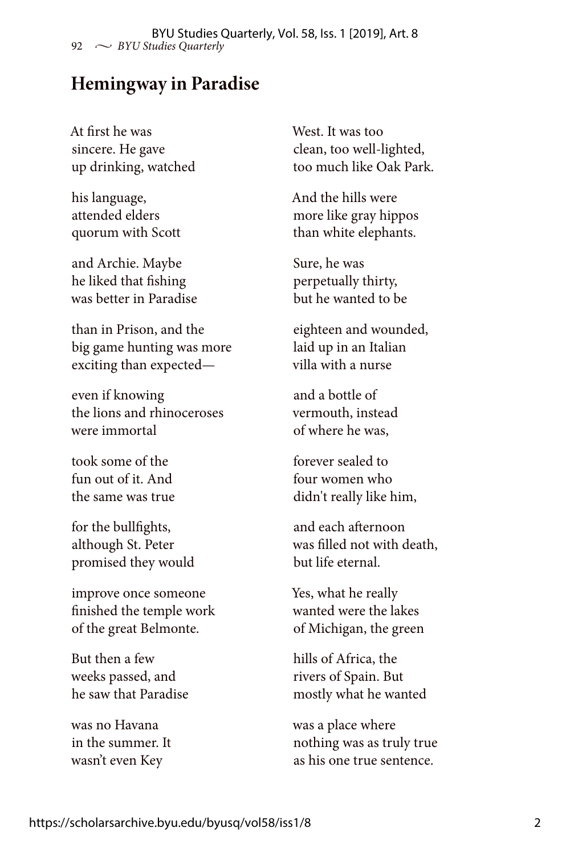#### **Hemingway in Paradise**

At first he was sincere. He gave up drinking, watched

his language, attended elders quorum with Scott

and Archie. Maybe he liked that fishing was better in Paradise

than in Prison, and the big game hunting was more exciting than expected—

even if knowing the lions and rhinoceroses were immortal

took some of the fun out of it. And the same was true

for the bullfights, although St. Peter promised they would

improve once someone finished the temple work of the great Belmonte.

But then a few weeks passed, and he saw that Paradise

was no Havana in the summer. It wasn't even Key

West. It was too clean, too well-lighted, too much like Oak Park.

And the hills were more like gray hippos than white elephants.

Sure, he was perpetually thirty, but he wanted to be

eighteen and wounded, laid up in an Italian villa with a nurse

and a bottle of vermouth, instead of where he was,

forever sealed to four women who didn't really like him,

and each afternoon was filled not with death, but life eternal.

Yes, what he really wanted were the lakes of Michigan, the green

hills of Africa, the rivers of Spain. But mostly what he wanted

was a place where nothing was as truly true as his one true sentence.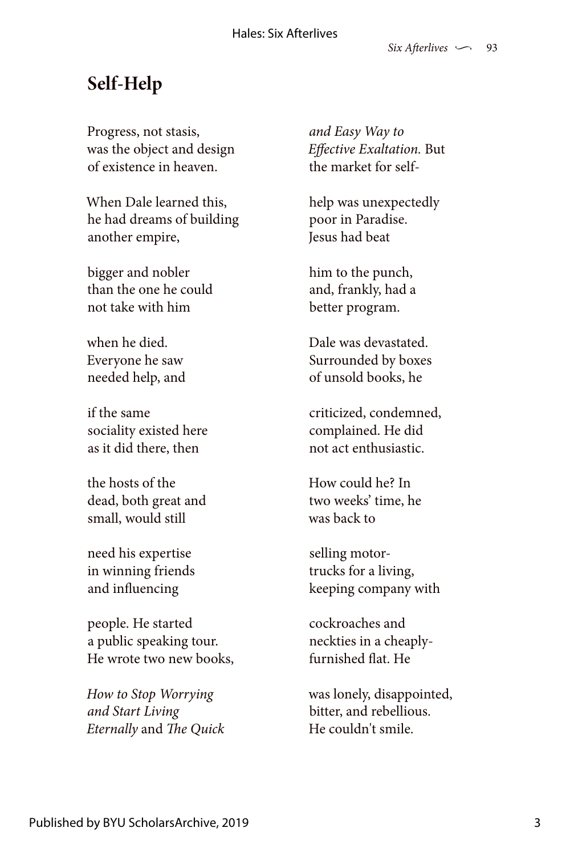# **Self-Help**

Progress, not stasis, was the object and design of existence in heaven.

When Dale learned this, he had dreams of building another empire,

bigger and nobler than the one he could not take with him

when he died. Everyone he saw needed help, and

if the same sociality existed here as it did there, then

the hosts of the dead, both great and small, would still

need his expertise in winning friends and influencing

people. He started a public speaking tour. He wrote two new books,

*How to Stop Worrying and Start Living Eternally* and *The Quick*

*and Easy Way to Effective Exaltation.* But the market for self-

help was unexpectedly poor in Paradise. Jesus had beat

him to the punch, and, frankly, had a better program.

Dale was devastated. Surrounded by boxes of unsold books, he

criticized, condemned, complained. He did not act enthusiastic.

How could he? In two weeks' time, he was back to

selling motortrucks for a living, keeping company with

cockroaches and neckties in a cheaplyfurnished flat. He

was lonely, disappointed, bitter, and rebellious. He couldn't smile.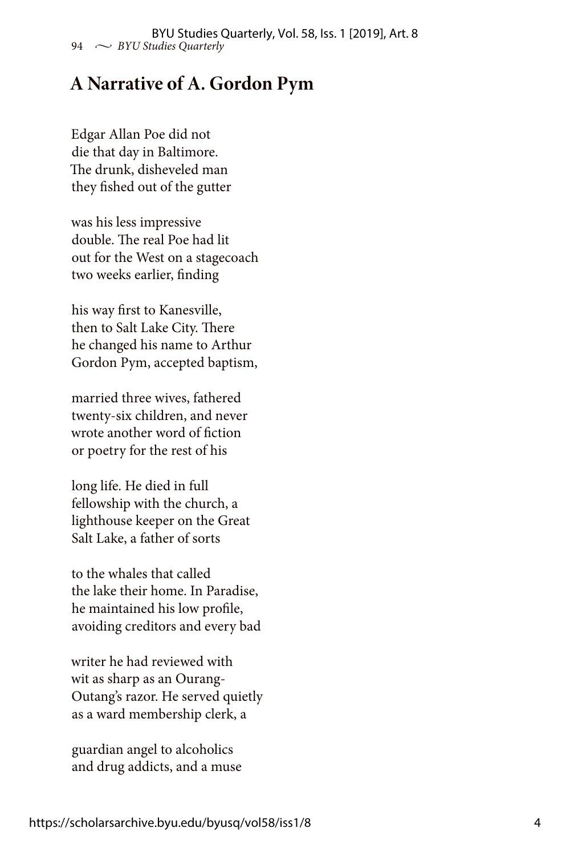## **A Narrative of A. Gordon Pym**

Edgar Allan Poe did not die that day in Baltimore. The drunk, disheveled man they fished out of the gutter

was his less impressive double. The real Poe had lit out for the West on a stagecoach two weeks earlier, finding

his way first to Kanesville, then to Salt Lake City. There he changed his name to Arthur Gordon Pym, accepted baptism,

married three wives, fathered twenty-six children, and never wrote another word of fiction or poetry for the rest of his

long life. He died in full fellowship with the church, a lighthouse keeper on the Great Salt Lake, a father of sorts

to the whales that called the lake their home. In Paradise, he maintained his low profile, avoiding creditors and every bad

writer he had reviewed with wit as sharp as an Ourang-Outang's razor. He served quietly as a ward membership clerk, a

guardian angel to alcoholics and drug addicts, and a muse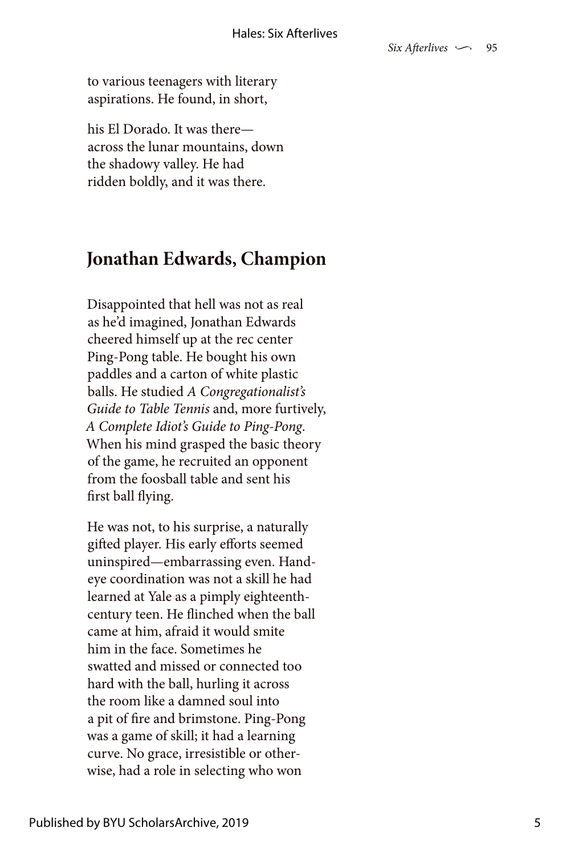to various teenagers with literary aspirations. He found, in short,

his El Dorado. It was there across the lunar mountains, down the shadowy valley. He had ridden boldly, and it was there.

### **Jonathan Edwards, Champion**

Disappointed that hell was not as real as he'd imagined, Jonathan Edwards cheered himself up at the rec center Ping-Pong table. He bought his own paddles and a carton of white plastic balls. He studied *A Congregationalist's Guide to Table Tennis* and, more furtively, *A Complete Idiot's Guide to Ping-Pong*. When his mind grasped the basic theory of the game, he recruited an opponent from the foosball table and sent his first ball flying.

He was not, to his surprise, a naturally gifted player. His early efforts seemed uninspired—embarrassing even. Handeye coordination was not a skill he had learned at Yale as a pimply eighteenthcentury teen. He flinched when the ball came at him, afraid it would smite him in the face. Sometimes he swatted and missed or connected too hard with the ball, hurling it across the room like a damned soul into a pit of fire and brimstone. Ping-Pong was a game of skill; it had a learning curve. No grace, irresistible or otherwise, had a role in selecting who won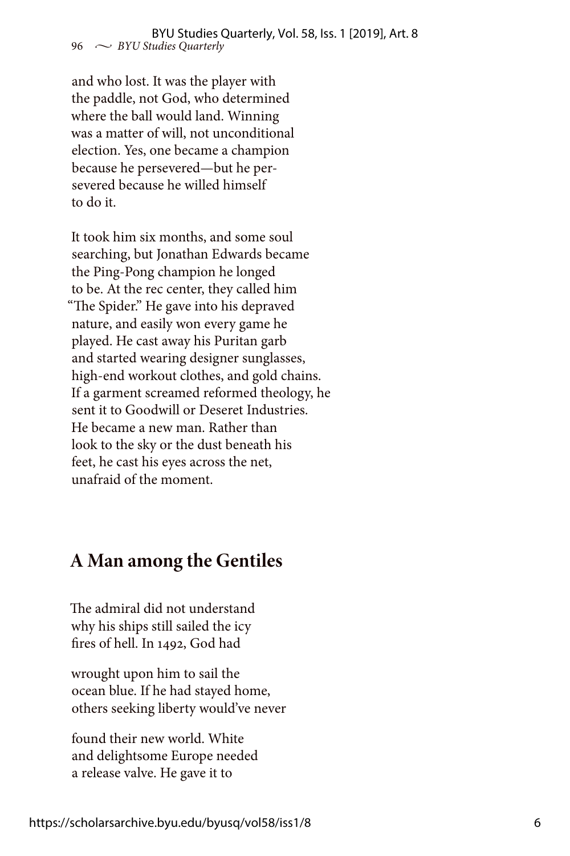and who lost. It was the player with the paddle, not God, who determined where the ball would land. Winning was a matter of will, not unconditional election. Yes, one became a champion because he persevered—but he persevered because he willed himself to do it.

It took him six months, and some soul searching, but Jonathan Edwards became the Ping-Pong champion he longed to be. At the rec center, they called him "The Spider." He gave into his depraved nature, and easily won every game he played. He cast away his Puritan garb and started wearing designer sunglasses, high-end workout clothes, and gold chains. If a garment screamed reformed theology, he sent it to Goodwill or Deseret Industries. He became a new man. Rather than look to the sky or the dust beneath his feet, he cast his eyes across the net, unafraid of the moment.

## **A Man among the Gentiles**

The admiral did not understand why his ships still sailed the icy fires of hell. In 1492, God had

wrought upon him to sail the ocean blue. If he had stayed home, others seeking liberty would've never

found their new world. White and delightsome Europe needed a release valve. He gave it to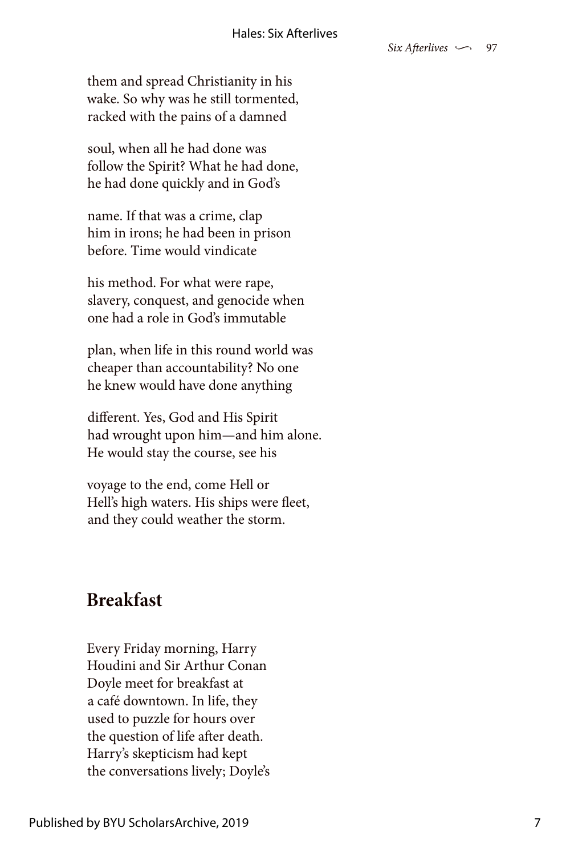them and spread Christianity in his wake. So why was he still tormented, racked with the pains of a damned

soul, when all he had done was follow the Spirit? What he had done, he had done quickly and in God's

name. If that was a crime, clap him in irons; he had been in prison before. Time would vindicate

his method. For what were rape, slavery, conquest, and genocide when one had a role in God's immutable

plan, when life in this round world was cheaper than accountability? No one he knew would have done anything

different. Yes, God and His Spirit had wrought upon him—and him alone. He would stay the course, see his

voyage to the end, come Hell or Hell's high waters. His ships were fleet, and they could weather the storm.

## **Breakfast**

Every Friday morning, Harry Houdini and Sir Arthur Conan Doyle meet for breakfast at a café downtown. In life, they used to puzzle for hours over the question of life after death. Harry's skepticism had kept the conversations lively; Doyle's